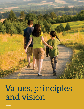

# Values, principles and vision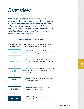# **Overview**

*With equity considerations front and center, participants developed values, principles and a vision to serve as the plan's foundation. Existing guidance including regional, state and federal policies and plans regarding waste management, recycling, toxics and other related environmental programs—also informed these core concepts.*

#### **FROM IDEALS TO ACTIONS**

The values, principles and vision inspire and inform the concrete actions that Metro and local governments will implement as part of this plan.

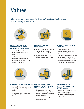# Values

*The values serve as a basis for the plan's goals and actions and will guide implementation.*



#### **PROTECT AND RESTORE THE ENVIRONMENT AND PROMOTE HEALTH FOR ALL**

- Ensure that current and future generations enjoy clean air, water and land.
- Lead efforts to reduce impacts of climate change and minimize release of toxins in the environment.



#### **CONSERVE NATURAL RESOURCES**

- Reduce the amount of energy, water and raw materials needed to make products.
- Manage materials to their highest and best use (reduce, reuse, recycle).



#### **ADVANCE ENVIRONMENTAL LITERACY**

- Facilitate life-long environmental learning for youth and adults.
- Increase knowledge of natural systems, and the human impacts on them, in order to foster civic responsibility and community empowerment.



#### **FOSTER ECONOMIC WELL-BEING**

- Promote inclusive prosperity and living well for all residents of the region.
- Increase access to economic opportunities for all communities.





#### **ENSURE OPERATIONAL RESILIENCE, ADAPTABILITY AND SUSTAINABILITY**

- Maintain a regional system that is safe and responsive to changing conditions to ensure long-term viability.
- Prepare for recovery after natural disasters.

#### **PROVIDE EXCELLENT SERVICE AND EQUITABLE SYSTEM ACCESS**

• Ensure that high-quality and good-value programs, services and facilities are equitably accessible to all.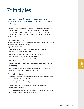# Principles

*This plan provides Metro and local governments a powerful opportunity to advance racial equity, diversity and inclusion.* 

The following principles were developed by the Equity Work Group in collaboration with Metro staff. Their purpose is to help address historical and disproportionate impacts of the waste system on marginalized communities and to define how the plan may advance racial equity.

#### **Community restoration**

Take action to repair past harms and disproportionate impacts caused by the regional solid waste system. In practice, this means:

• Acknowledging historical impacts passed from generation to generation within communities.

- Actively including communities that have been historically marginalized from decision-making processes.
- Equitably distributing costs and benefits, taking into account historical and system impacts.
- Valuing indigenous and cultural knowledge about using resources sustainably.
- Committing to building a greater awareness of equity among providers of garbage and recycling services.

#### **Community partnerships**

Develop authentic partnerships and community trust to advance the plan's vision. In practice, this means:

- Prioritizing historically marginalized communities within the delivery of programs and services.
- Expanding voice and decision-making opportunities for communities of color.
- Supporting resilient community relationships by creating ongoing opportunities for leadership development.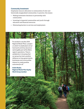#### **Community investment**

Emphasize resource allocation to communities of color and historically marginalized communities. In practice, this means:

- Making investment decisions in partnership with communities.
- Investing in impacted communities and youth through education and financial resources.
- Eliminating barriers to services and employment.

*"I'm excited to see [the 2030 Regional Waste Plan], a project on which I've dedicated a lot of hard work and time, become a real tangible part of the Metro region's operations. There is satisfaction in knowing that our group has had a positive influence on how governments, businesses and communities interact to create positive outcomes for all."*

**Andre Bealer, Regional Waste Plan Equity Work Group member**